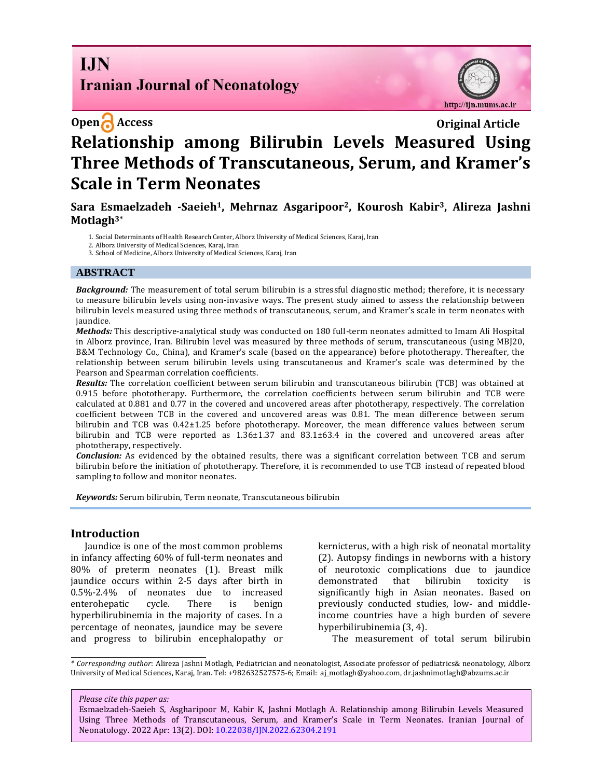# **I.IN Iranian Journal of Neonatology**

http://ijn.mums.ac.ir

# **Open Access Original Article Relationship among Bilirubin Levels Measured Using Three Methods of Transcutaneous, Serum, and Kramer's Scale in Term Neonates**

**Sara Esmaelzadeh -Saeieh1, Mehrnaz Asgaripoor2, Kourosh Kabir3, Alireza Jashni Motlagh3\***

1. Social Determinants of Health Research Center, Alborz University of Medical Sciences, Karaj, Iran

- 2. Alborz University of Medical Sciences, Karaj, Iran
- 3. School of Medicine, Alborz University of Medical Sciences, Karaj, Iran

#### **ABSTRACT**

*Background:* The measurement of total serum bilirubin is a stressful diagnostic method; therefore, it is necessary to measure bilirubin levels using non-invasive ways. The present study aimed to assess the relationship between bilirubin levels measured using three methods of transcutaneous, serum, and Kramer's scale in term neonates with jaundice.

*Methods:* This descriptive-analytical study was conducted on 180 full-term neonates admitted to Imam Ali Hospital in Alborz province, Iran. Bilirubin level was measured by three methods of serum, transcutaneous (using MBJ20, B&M Technology Co., China), and Kramer's scale (based on the appearance) before phototherapy. Thereafter, the relationship between serum bilirubin levels using transcutaneous and Kramer's scale was determined by the Pearson and Spearman correlation coefficients.

*Results:* The correlation coefficient between serum bilirubin and transcutaneous bilirubin (TCB) was obtained at 0.915 before phototherapy. Furthermore, the correlation coefficients between serum bilirubin and TCB were calculated at 0.881 and 0.77 in the covered and uncovered areas after phototherapy, respectively. The correlation coefficient between TCB in the covered and uncovered areas was 0.81. The mean difference between serum bilirubin and TCB was 0.42±1.25 before phototherapy. Moreover, the mean difference values between serum bilirubin and TCB were reported as 1.36±1.37 and 83.1±63.4 in the covered and uncovered areas after phototherapy, respectively.

*Conclusion:* As evidenced by the obtained results, there was a significant correlation between TCB and serum bilirubin before the initiation of phototherapy. Therefore, it is recommended to use TCB instead of repeated blood sampling to follow and monitor neonates.

*Keywords:* Serum bilirubin, Term neonate, Transcutaneous bilirubin

#### **Introduction**

Jaundice is one of the most common problems in infancy affecting 60% of full-term neonates and 80% of preterm neonates (1). Breast milk jaundice occurs within 2-5 days after birth in 0.5%-2.4% of neonates due to increased enterohepatic cycle. There is benign hyperbilirubinemia in the majority of cases. In a percentage of neonates, jaundice may be severe and progress to bilirubin encephalopathy or

kernicterus, with a high risk of neonatal mortality (2). Autopsy findings in newborns with a history of neurotoxic complications due to jaundice demonstrated that bilirubin toxicity significantly high in Asian neonates. Based on previously conducted studies, low- and middleincome countries have a high burden of severe hyperbilirubinemia (3, 4).

The measurement of total serum bilirubin

*\* Corresponding author*: Alireza Jashni Motlagh, Pediatrician and neonatologist, Associate professor of pediatrics& neonatology, Alborz University of Medical Sciences, Karaj, Iran. Tel: +982632527575-6; Email: [aj\\_motlagh@yahoo.com,](mailto:aj_motlagh@yahoo.com) [dr.jashnimotlagh@abzums.ac.ir](mailto:dr.jashnimotlagh@abzums.ac.ir)

#### *Please cite this paper as:*

Esmaelzadeh-Saeieh S, Asgharipoor M, Kabir K, Jashni Motlagh A. Relationship among Bilirubin Levels Measured Using Three Methods of Transcutaneous, Serum, and Kramer's Scale in Term Neonates. Iranian Journal of Neonatology. 2022 Apr: 13(2). DOI[: 10.22038/IJN.2022.62304.2191](https://ijn.mums.ac.ir/)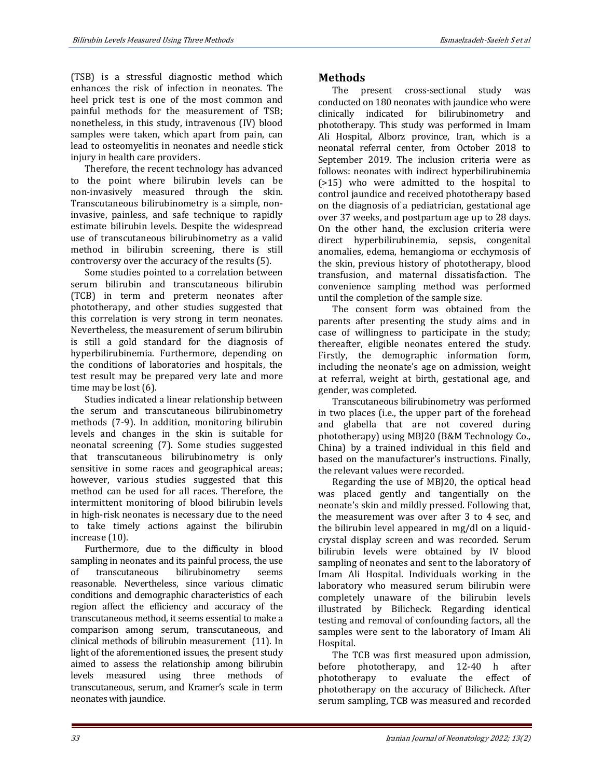(TSB) is a stressful diagnostic method which enhances the risk of infection in neonates. The heel prick test is one of the most common and painful methods for the measurement of TSB; nonetheless, in this study, intravenous (IV) blood samples were taken, which apart from pain, can lead to osteomyelitis in neonates and needle stick injury in health care providers.

Therefore, the recent technology has advanced to the point where bilirubin levels can be non-invasively measured through the skin. Transcutaneous bilirubinometry is a simple, noninvasive, painless, and safe technique to rapidly estimate bilirubin levels. Despite the widespread use of transcutaneous bilirubinometry as a valid method in bilirubin screening, there is still controversy over the accuracy of the results (5).

Some studies pointed to a correlation between serum bilirubin and transcutaneous bilirubin (TCB) in term and preterm neonates after phototherapy, and other studies suggested that this correlation is very strong in term neonates. Nevertheless, the measurement of serum bilirubin is still a gold standard for the diagnosis of hyperbilirubinemia. Furthermore, depending on the conditions of laboratories and hospitals, the test result may be prepared very late and more time may be lost (6).

Studies indicated a linear relationship between the serum and transcutaneous bilirubinometry methods (7-9). In addition, monitoring bilirubin levels and changes in the skin is suitable for neonatal screening (7). Some studies suggested that transcutaneous bilirubinometry is only sensitive in some races and geographical areas; however, various studies suggested that this method can be used for all races. Therefore, the intermittent monitoring of blood bilirubin levels in high-risk neonates is necessary due to the need to take timely actions against the bilirubin increase (10).

Furthermore, due to the difficulty in blood sampling in neonates and its painful process, the use of transcutaneous bilirubinometry seems reasonable. Nevertheless, since various climatic conditions and demographic characteristics of each region affect the efficiency and accuracy of the transcutaneous method, it seems essential to make a comparison among serum, transcutaneous, and clinical methods of bilirubin measurement (11). In light of the aforementioned issues, the present study aimed to assess the relationship among bilirubin levels measured using three methods of transcutaneous, serum, and Kramer's scale in term neonates with jaundice.

# **Methods**

The present cross-sectional study was conducted on 180 neonates with jaundice who were clinically indicated for bilirubinometry and phototherapy. This study was performed in Imam Ali Hospital, Alborz province, Iran, which is a neonatal referral center, from October 2018 to September 2019. The inclusion criteria were as follows: neonates with indirect hyperbilirubinemia (>15) who were admitted to the hospital to control jaundice and received phototherapy based on the diagnosis of a pediatrician, gestational age over 37 weeks, and postpartum age up to 28 days. On the other hand, the exclusion criteria were direct hyperbilirubinemia, sepsis, congenital anomalies, edema, hemangioma or ecchymosis of the skin, previous history of phototherapy, blood transfusion, and maternal dissatisfaction. The convenience sampling method was performed until the completion of the sample size.

The consent form was obtained from the parents after presenting the study aims and in case of willingness to participate in the study; thereafter, eligible neonates entered the study. Firstly, the demographic information form, including the neonate's age on admission, weight at referral, weight at birth, gestational age, and gender, was completed.

Transcutaneous bilirubinometry was performed in two places (i.e., the upper part of the forehead and glabella that are not covered during phototherapy) using MBJ20 (B&M Technology Co., China) by a trained individual in this field and based on the manufacturer's instructions. Finally, the relevant values were recorded.

Regarding the use of MBJ20, the optical head was placed gently and tangentially on the neonate's skin and mildly pressed. Following that, the measurement was over after 3 to 4 sec, and the bilirubin level appeared in mg/dl on a liquidcrystal display screen and was recorded. Serum bilirubin levels were obtained by IV blood sampling of neonates and sent to the laboratory of Imam Ali Hospital. Individuals working in the laboratory who measured serum bilirubin were completely unaware of the bilirubin levels illustrated by Bilicheck. Regarding identical testing and removal of confounding factors, all the samples were sent to the laboratory of Imam Ali Hospital.

The TCB was first measured upon admission, before phototherapy, and 12-40 h after phototherapy to evaluate the effect of phototherapy on the accuracy of Bilicheck. After serum sampling, TCB was measured and recorded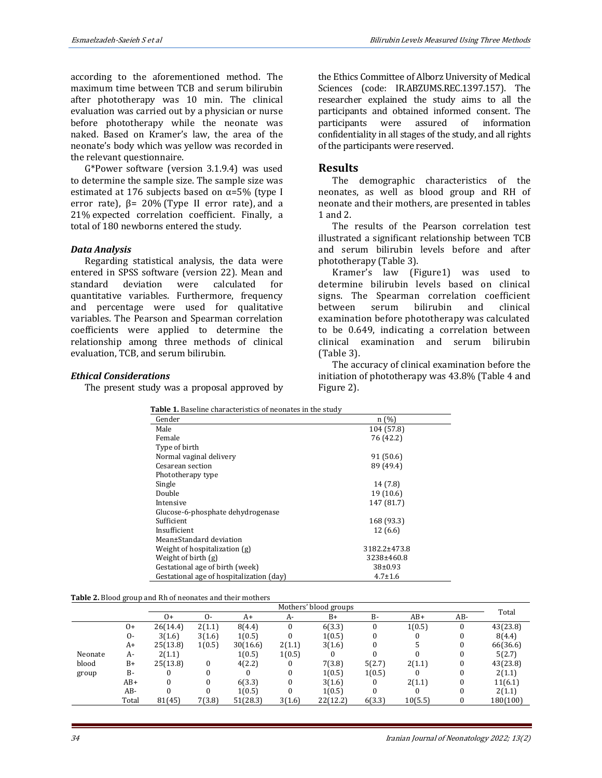according to the aforementioned method. The maximum time between TCB and serum bilirubin after phototherapy was 10 min. The clinical evaluation was carried out by a physician or nurse before phototherapy while the neonate was naked. Based on Kramer's law, the area of the neonate's body which was yellow was recorded in the relevant questionnaire.

G\*Power software (version 3.1.9.4) was used to determine the sample size. The sample size was estimated at 176 subjects based on  $\alpha$ =5% (type I error rate),  $β = 20%$  (Type II error rate), and a 21% expected correlation coefficient. Finally, a total of 180 newborns entered the study.

#### *Data Analysis*

Regarding statistical analysis, the data were entered in SPSS software (version 22). Mean and standard deviation were calculated for quantitative variables. Furthermore, frequency and percentage were used for qualitative variables. The Pearson and Spearman correlation coefficients were applied to determine the relationship among three methods of clinical evaluation, TCB, and serum bilirubin.

the Ethics Committee of Alborz University of Medical Sciences (code: IR.ABZUMS.REC.1397.157). The researcher explained the study aims to all the participants and obtained informed consent. The participants were assured of information confidentiality in all stages of the study, and all rights of the participants were reserved.

### **Results**

The demographic characteristics of the neonates, as well as blood group and RH of neonate and their mothers, are presented in tables 1 and 2.

The results of the Pearson correlation test illustrated a significant relationship between TCB and serum bilirubin levels before and after phototherapy (Table 3).

Kramer's law (Figure1) was used to determine bilirubin levels based on clinical signs. The Spearman correlation coefficient between serum bilirubin and clinical examination before phototherapy was calculated to be 0.649, indicating a correlation between clinical examination and serum bilirubin (Table 3).

# *Ethical Considerations*

The present study was a proposal approved by

The accuracy of clinical examination before the initiation of phototherapy was 43.8% (Table 4 and Figure 2).

 **Table 1.** Baseline characteristics of neonates in the study

| Gender                                   | n(%)          |
|------------------------------------------|---------------|
| Male                                     | 104 (57.8)    |
| Female                                   | 76 (42.2)     |
| Type of birth                            |               |
| Normal vaginal delivery                  | 91 (50.6)     |
| Cesarean section                         | 89 (49.4)     |
| Phototherapy type                        |               |
| Single                                   | 14 (7.8)      |
| Double                                   | 19 (10.6)     |
| Intensive                                | 147 (81.7)    |
| Glucose-6-phosphate dehydrogenase        |               |
| Sufficient                               | 168 (93.3)    |
| Insufficient                             | 12(6.6)       |
| Mean±Standard deviation                  |               |
| Weight of hospitalization (g)            | 3182.2±473.8  |
| Weight of birth (g)                      | 3238±460.8    |
| Gestational age of birth (week)          | 38±0.93       |
| Gestational age of hospitalization (day) | $4.7 \pm 1.6$ |

**Table 2.** Blood group and Rh of neonates and their mothers

|         |           | Mothers' blood groups |            |          |        |          | Total  |         |     |          |  |
|---------|-----------|-----------------------|------------|----------|--------|----------|--------|---------|-----|----------|--|
|         |           | 0+                    | $\Omega$ - | A+       | A-     | $B+$     | $B -$  | $AB+$   | AB- |          |  |
|         | $0+$      | 26(14.4)              | 2(1.1)     | 8(4.4)   |        | 6(3.3)   |        | 1(0.5)  |     | 43(23.8) |  |
|         | $\Omega$  | 3(1.6)                | 3(1.6)     | 1(0.5)   |        | 1(0.5)   |        |         |     | 8(4.4)   |  |
|         | A+        | 25(13.8)              | 1(0.5)     | 30(16.6) | 2(1.1) | 3(1.6)   |        |         | 0   | 66(36.6) |  |
| Neonate | A-        | 2(1.1)                |            | 1(0.5)   | 1(0.5) |          |        |         |     | 5(2.7)   |  |
| blood   | $B+$      | 25(13.8)              | $\bf{0}$   | 4(2.2)   |        | 7(3.8)   | 5(2.7) | 2(1.1)  |     | 43(23.8) |  |
| group   | <b>B-</b> | U                     | 0          |          |        | 1(0.5)   | 1(0.5) |         | 0   | 2(1.1)   |  |
|         | AB+       |                       | 0          | 6(3.3)   |        | 3(1.6)   |        | 2(1.1)  |     | 11(6.1)  |  |
|         | AB-       |                       |            | 1(0.5)   |        | 1(0.5)   |        |         |     | 2(1.1)   |  |
|         | Total     | 81(45)                | 7(3.8)     | 51(28.3) | 3(1.6) | 22(12.2) | 6(3.3) | 10(5.5) |     | 180(100) |  |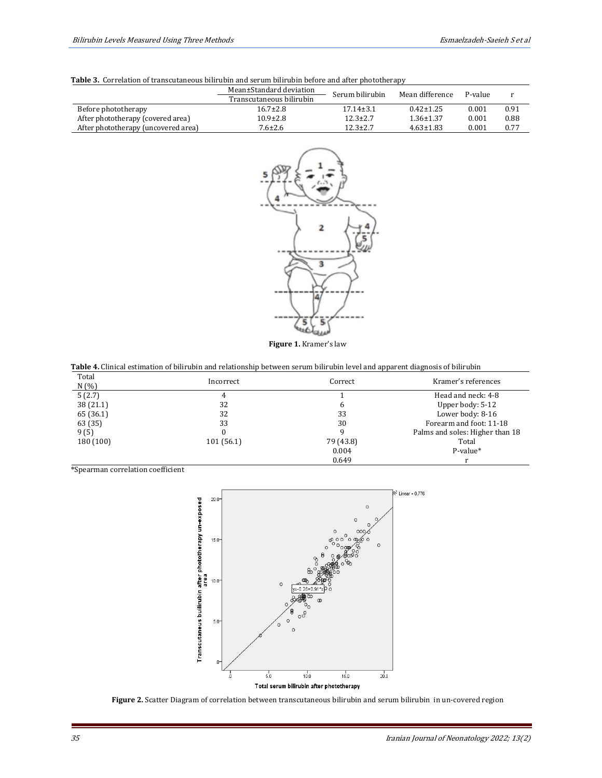|                                     | Mean±Standard deviation  | Serum bilirubin | Mean difference | P-value |      |
|-------------------------------------|--------------------------|-----------------|-----------------|---------|------|
|                                     | Transcutaneous bilirubin |                 |                 |         |      |
| Before phototherapy                 | $16.7 \pm 2.8$           | $17.14 \pm 3.1$ | $0.42 \pm 1.25$ | 0.001   | 0.91 |
| After phototherapy (covered area)   | $10.9 \pm 2.8$           | $12.3 \pm 2.7$  | $1.36 \pm 1.37$ | 0.001   | 0.88 |
| After phototherapy (uncovered area) | $7.6 \pm 2.6$            | $12.3 \pm 2.7$  | $4.63 \pm 1.83$ | 0.001   | 0.77 |
|                                     |                          |                 |                 |         |      |





**Figure 1.** Kramer's law

| Table 4. Clinical estimation of bilirubin and relationship between serum bilirubin level and apparent diagnosis of bilirubin |  |
|------------------------------------------------------------------------------------------------------------------------------|--|
|------------------------------------------------------------------------------------------------------------------------------|--|

| Total<br>N(% | Incorrect | Correct   | Kramer's references             |
|--------------|-----------|-----------|---------------------------------|
| 5(2.7)       |           |           | Head and neck: 4-8              |
| 38(21.1)     | 32        | 6         | Upper body: 5-12                |
| 65 (36.1)    | 32        | 33        | Lower body: 8-16                |
| 63 (35)      | 33        | 30        | Forearm and foot: 11-18         |
| 9(5)         |           | 9         | Palms and soles: Higher than 18 |
| 180 (100)    | 101(56.1) | 79 (43.8) | Total                           |
|              |           | 0.004     | P-value*                        |
|              |           | 0.649     |                                 |

\*Spearman correlation coefficient



**Figure 2.** Scatter Diagram of correlation between transcutaneous bilirubin and serum bilirubin in un-covered region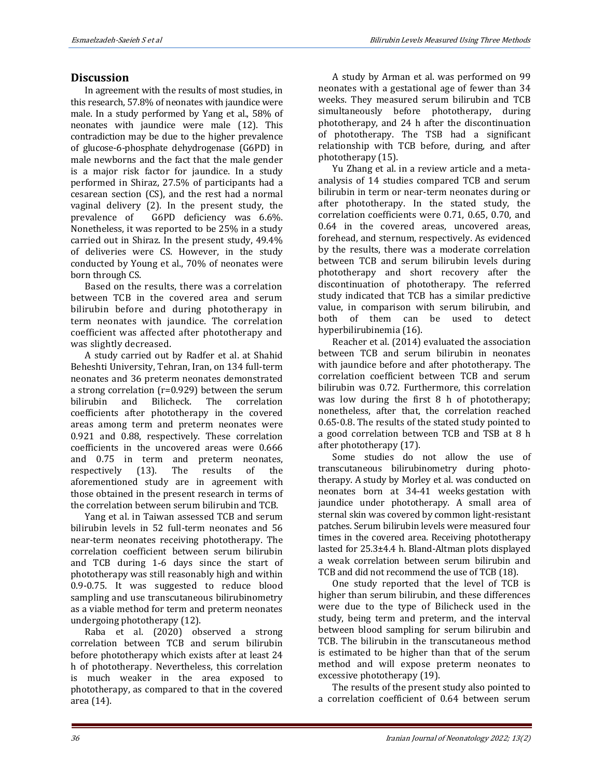# **Discussion**

In agreement with the results of most studies, in this research, 57.8% of neonates with jaundice were male. In a study performed by Yang et al., 58% of neonates with jaundice were male (12). This contradiction may be due to the higher prevalence of glucose-6-phosphate dehydrogenase (G6PD) in male newborns and the fact that the male gender is a major risk factor for jaundice. In a study performed in Shiraz, 27.5% of participants had a cesarean section (CS), and the rest had a normal vaginal delivery (2). In the present study, the prevalence of G6PD deficiency was 6.6%. Nonetheless, it was reported to be 25% in a study carried out in Shiraz. In the present study, 49.4% of deliveries were CS. However, in the study conducted by Young et al., 70% of neonates were born through CS.

Based on the results, there was a correlation between TCB in the covered area and serum bilirubin before and during phototherapy in term neonates with jaundice. The correlation coefficient was affected after phototherapy and was slightly decreased.

A study carried out by Radfer et al. at Shahid Beheshti University, Tehran, Iran, on 134 full-term neonates and 36 preterm neonates demonstrated a strong correlation (r=0.929) between the serum bilirubin and Bilicheck. The correlation coefficients after phototherapy in the covered areas among term and preterm neonates were 0.921 and 0.88, respectively. These correlation coefficients in the uncovered areas were 0.666 and 0.75 in term and preterm neonates, respectively (13). The results of the aforementioned study are in agreement with those obtained in the present research in terms of the correlation between serum bilirubin and TCB.

Yang et al. in Taiwan assessed TCB and serum bilirubin levels in 52 full-term neonates and 56 near-term neonates receiving phototherapy. The correlation coefficient between serum bilirubin and TCB during 1-6 days since the start of phototherapy was still reasonably high and within 0.9-0.75. It was suggested to reduce blood sampling and use transcutaneous bilirubinometry as a viable method for term and preterm neonates undergoing phototherapy (12).

Raba et al. (2020) observed a strong correlation between TCB and serum bilirubin before phototherapy which exists after at least 24 h of phototherapy. Nevertheless, this correlation is much weaker in the area exposed to phototherapy, as compared to that in the covered area (14).

A study by Arman et al. was performed on 99 neonates with a gestational age of fewer than 34 weeks. They measured serum bilirubin and TCB simultaneously before phototherapy, during phototherapy, and 24 h after the discontinuation of phototherapy. The TSB had a significant relationship with TCB before, during, and after phototherapy (15).

Yu Zhang et al. in a review article and a metaanalysis of 14 studies compared TCB and serum bilirubin in term or near-term neonates during or after phototherapy. In the stated study, the correlation coefficients were 0.71, 0.65, 0.70, and 0.64 in the covered areas, uncovered areas, forehead, and sternum, respectively. As evidenced by the results, there was a moderate correlation between TCB and serum bilirubin levels during phototherapy and short recovery after the discontinuation of phototherapy. The referred study indicated that TCB has a similar predictive value, in comparison with serum bilirubin, and both of them can be used to detect hyperbilirubinemia (16).

Reacher et al. (2014) evaluated the association between TCB and serum bilirubin in neonates with jaundice before and after phototherapy. The correlation coefficient between TCB and serum bilirubin was 0.72. Furthermore, this correlation was low during the first 8 h of phototherapy; nonetheless, after that, the correlation reached 0.65-0.8. The results of the stated study pointed to a good correlation between TCB and TSB at 8 h after phototherapy (17).

Some studies do not allow the use of transcutaneous bilirubinometry during phototherapy. A study by Morley et al. was conducted on neonates born at 34-41 weeks gestation with jaundice under phototherapy. A small area of sternal skin was covered by common light-resistant patches. Serum bilirubin levels were measured four times in the covered area. Receiving phototherapy lasted for 25.3±4.4 h. Bland-Altman plots displayed a weak correlation between serum bilirubin and TCB and did not recommend the use of TCB (18).

One study reported that the level of TCB is higher than serum bilirubin, and these differences were due to the type of Bilicheck used in the study, being term and preterm, and the interval between blood sampling for serum bilirubin and TCB. The bilirubin in the transcutaneous method is estimated to be higher than that of the serum method and will expose preterm neonates to excessive phototherapy (19).

The results of the present study also pointed to a correlation coefficient of 0.64 between serum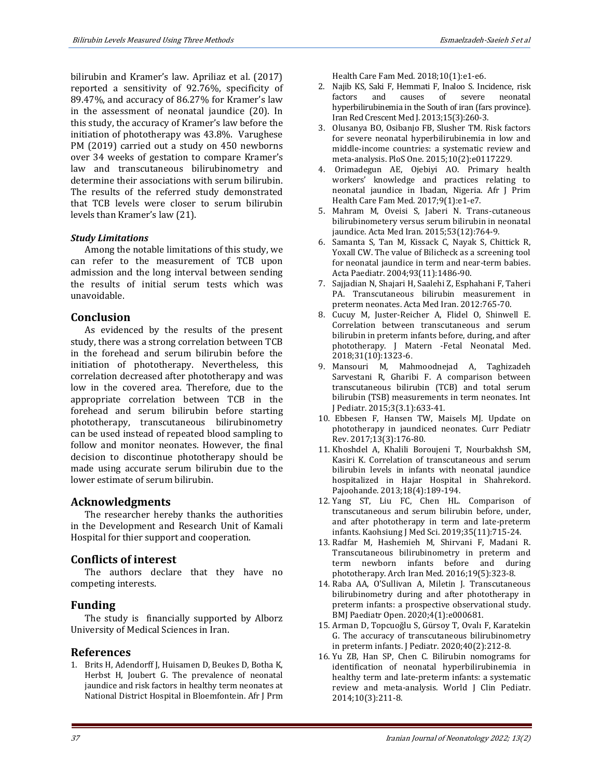bilirubin and Kramer's law. Apriliaz et al. (2017) reported a sensitivity of 92.76%, specificity of 89.47%, and accuracy of 86.27% for Kramer's law in the assessment of neonatal jaundice (20). In this study, the accuracy of Kramer's law before the initiation of phototherapy was 43.8%. Varughese PM (2019) carried out a study on 450 newborns over 34 weeks of gestation to compare Kramer's law and transcutaneous bilirubinometry and determine their associations with serum bilirubin. The results of the referred study demonstrated that TCB levels were closer to serum bilirubin levels than Kramer's law (21).

#### *Study Limitations*

Among the notable limitations of this study, we can refer to the measurement of TCB upon admission and the long interval between sending the results of initial serum tests which was unavoidable.

# **Conclusion**

As evidenced by the results of the present study, there was a strong correlation between TCB in the forehead and serum bilirubin before the initiation of phototherapy. Nevertheless, this correlation decreased after phototherapy and was low in the covered area. Therefore, due to the appropriate correlation between TCB in the forehead and serum bilirubin before starting phototherapy, transcutaneous bilirubinometry can be used instead of repeated blood sampling to follow and monitor neonates. However, the final decision to discontinue phototherapy should be made using accurate serum bilirubin due to the lower estimate of serum bilirubin.

# **Acknowledgments**

The researcher hereby thanks the authorities in the Development and Research Unit of Kamali Hospital for thier support and cooperation.

# **Conflicts of interest**

The authors declare that they have no competing interests.

### **Funding**

The study is financially supported by Alborz University of Medical Sciences in Iran.

### **References**

1. Brits H, Adendorff J, Huisamen D, Beukes D, Botha K, Herbst H, Joubert G. The prevalence of neonatal jaundice and risk factors in healthy term neonates at National District Hospital in Bloemfontein. Afr J Prm Health Care Fam Med. 2018;10(1):e1-e6.

- 2. Najib KS, Saki F, Hemmati F, Inaloo S. Incidence, risk factors and causes of severe neonatal hyperbilirubinemia in the South of iran (fars province). Iran Red Crescent Med J. 2013;15(3):260-3.
- 3. Olusanya BO, Osibanjo FB, Slusher TM. Risk factors for severe neonatal hyperbilirubinemia in low and middle-income countries: a systematic review and meta-analysis. PloS One. 2015;10(2):e0117229.
- 4. Orimadegun AE, Ojebiyi AO. Primary health workers' knowledge and practices relating to neonatal jaundice in Ibadan, Nigeria. Afr J Prim Health Care Fam Med. 2017;9(1):e1-e7.
- 5. Mahram M, Oveisi S, Jaberi N. Trans-cutaneous bilirubinometery versus serum bilirubin in neonatal jaundice. Acta Med Iran. 2015;53(12):764-9.
- 6. Samanta S, Tan M, Kissack C, Nayak S, Chittick R, Yoxall CW. The value of Bilicheck as a screening tool for neonatal jaundice in term and near-term babies. Acta Paediatr. 2004;93(11):1486-90.
- 7. Sajjadian N, Shajari H, Saalehi Z, Esphahani F, Taheri PA. Transcutaneous bilirubin measurement in preterm neonates. Acta Med Iran. 2012:765-70.
- 8. Cucuy M, Juster-Reicher A, Flidel O, Shinwell E. Correlation between transcutaneous and serum bilirubin in preterm infants before, during, and after phototherapy. J Matern -Fetal Neonatal Med. 2018;31(10):1323-6.
- 9. Mansouri M, Mahmoodnejad A, Taghizadeh Sarvestani R, Gharibi F. A comparison between transcutaneous bilirubin (TCB) and total serum bilirubin (TSB) measurements in term neonates. Int J Pediatr. 2015;3(3.1):633-41.
- 10. Ebbesen F, Hansen TW, Maisels MJ. Update on phototherapy in jaundiced neonates. Curr Pediatr Rev. 2017;13(3):176-80.
- 11. Khoshdel A, Khalili Boroujeni T, Nourbakhsh SM, Kasiri K. Correlation of transcutaneous and serum bilirubin levels in infants with neonatal jaundice hospitalized in Hajar Hospital in Shahrekord. Pajoohande. 2013;18(4):189-194.
- 12. Yang ST, Liu FC, Chen HL. Comparison of transcutaneous and serum bilirubin before, under, and after phototherapy in term and late-preterm infants. Kaohsiung J Med Sci. 2019;35(11):715-24.
- 13. Radfar M, Hashemieh M, Shirvani F, Madani R. Transcutaneous bilirubinometry in preterm and term newborn infants before and during phototherapy. Arch Iran Med. 2016;19(5):323-8.
- 14. Raba AA, O'Sullivan A, Miletin J. Transcutaneous bilirubinometry during and after phototherapy in preterm infants: a prospective observational study. BMJ Paediatr Open. 2020;4(1):e000681.
- 15. Arman D, Topcuoğlu S, Gürsoy T, Ovalı F, Karatekin G. The accuracy of transcutaneous bilirubinometry in preterm infants. J Pediatr. 2020;40(2):212-8.
- 16. Yu ZB, Han SP, Chen C. Bilirubin nomograms for identification of neonatal hyperbilirubinemia in healthy term and late-preterm infants: a systematic review and meta-analysis. World J Clin Pediatr. 2014;10(3):211-8.